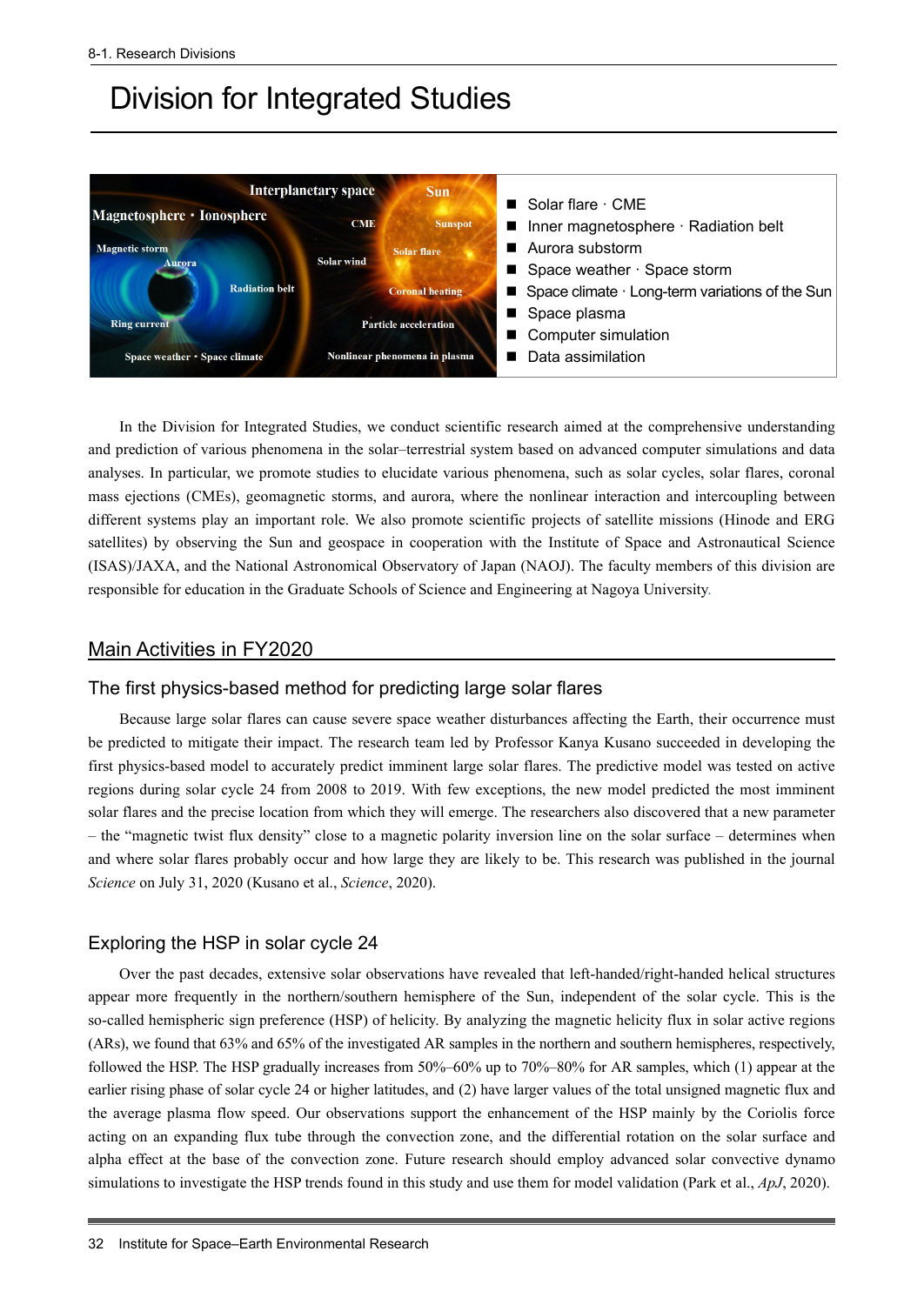# Division for Integrated Studies



In the Division for Integrated Studies, we conduct scientific research aimed at the comprehensive understanding and prediction of various phenomena in the solar–terrestrial system based on advanced computer simulations and data analyses. In particular, we promote studies to elucidate various phenomena, such as solar cycles, solar flares, coronal mass ejections (CMEs), geomagnetic storms, and aurora, where the nonlinear interaction and intercoupling between different systems play an important role. We also promote scientific projects of satellite missions (Hinode and ERG satellites) by observing the Sun and geospace in cooperation with the Institute of Space and Astronautical Science (ISAS)/JAXA, and the National Astronomical Observatory of Japan (NAOJ). The faculty members of this division are responsible for education in the Graduate Schools of Science and Engineering at Nagoya University.

#### Main Activities in FY2020

## The first physics-based method for predicting large solar flares

Because large solar flares can cause severe space weather disturbances affecting the Earth, their occurrence must be predicted to mitigate their impact. The research team led by Professor Kanya Kusano succeeded in developing the first physics-based model to accurately predict imminent large solar flares. The predictive model was tested on active regions during solar cycle 24 from 2008 to 2019. With few exceptions, the new model predicted the most imminent solar flares and the precise location from which they will emerge. The researchers also discovered that a new parameter – the "magnetic twist flux density" close to a magnetic polarity inversion line on the solar surface – determines when and where solar flares probably occur and how large they are likely to be. This research was published in the journal *Science* on July 31, 2020 (Kusano et al., *Science*, 2020).

## Exploring the HSP in solar cycle 24

Over the past decades, extensive solar observations have revealed that left-handed/right-handed helical structures appear more frequently in the northern/southern hemisphere of the Sun, independent of the solar cycle. This is the so-called hemispheric sign preference (HSP) of helicity. By analyzing the magnetic helicity flux in solar active regions (ARs), we found that 63% and 65% of the investigated AR samples in the northern and southern hemispheres, respectively, followed the HSP. The HSP gradually increases from 50%–60% up to 70%–80% for AR samples, which (1) appear at the earlier rising phase of solar cycle 24 or higher latitudes, and (2) have larger values of the total unsigned magnetic flux and the average plasma flow speed. Our observations support the enhancement of the HSP mainly by the Coriolis force acting on an expanding flux tube through the convection zone, and the differential rotation on the solar surface and alpha effect at the base of the convection zone. Future research should employ advanced solar convective dynamo simulations to investigate the HSP trends found in this study and use them for model validation (Park et al., *ApJ*, 2020).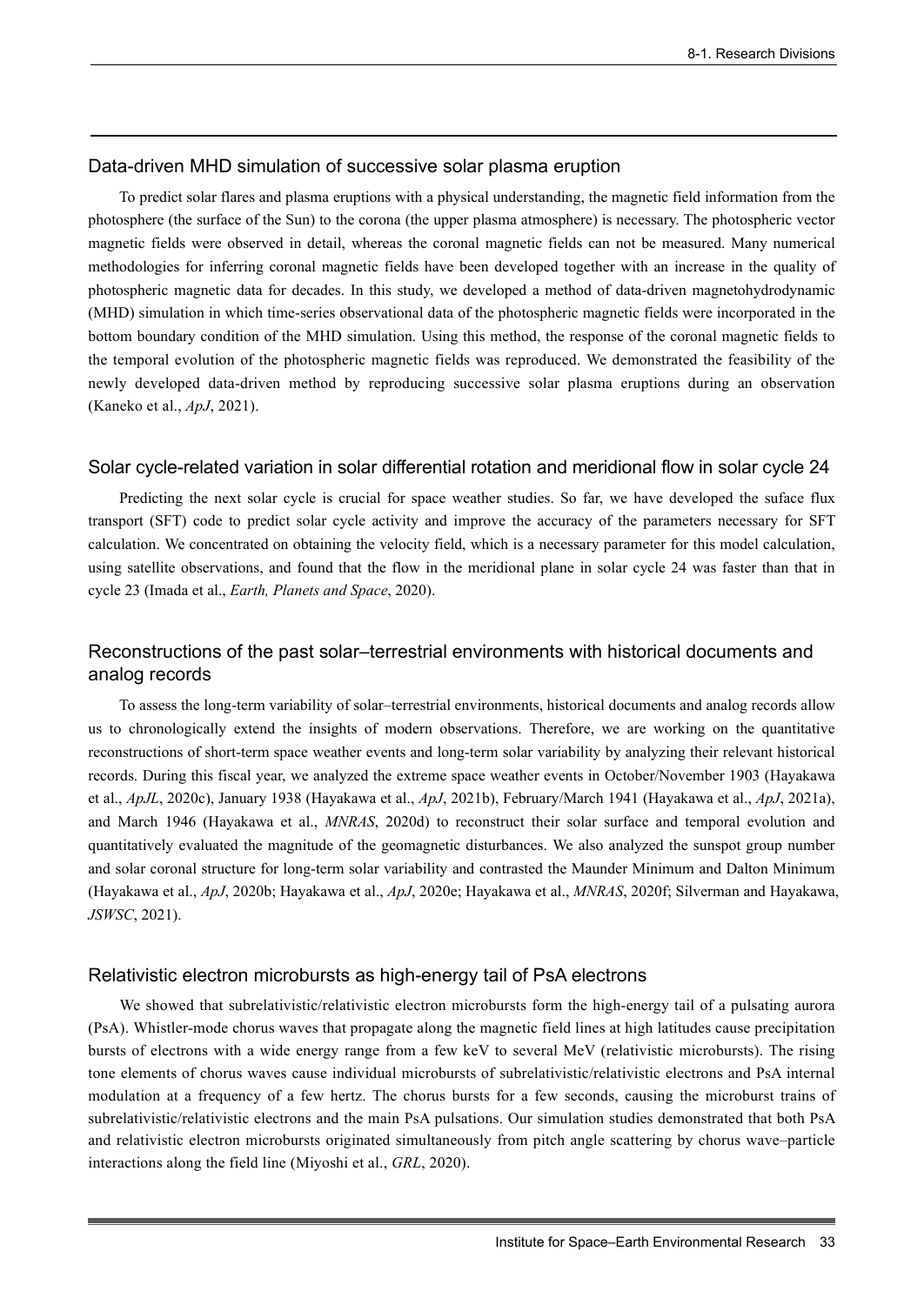## Data-driven MHD simulation of successive solar plasma eruption

To predict solar flares and plasma eruptions with a physical understanding, the magnetic field information from the photosphere (the surface of the Sun) to the corona (the upper plasma atmosphere) is necessary. The photospheric vector magnetic fields were observed in detail, whereas the coronal magnetic fields can not be measured. Many numerical methodologies for inferring coronal magnetic fields have been developed together with an increase in the quality of photospheric magnetic data for decades. In this study, we developed a method of data-driven magnetohydrodynamic (MHD) simulation in which time-series observational data of the photospheric magnetic fields were incorporated in the bottom boundary condition of the MHD simulation. Using this method, the response of the coronal magnetic fields to the temporal evolution of the photospheric magnetic fields was reproduced. We demonstrated the feasibility of the newly developed data-driven method by reproducing successive solar plasma eruptions during an observation (Kaneko et al., *ApJ*, 2021).

#### Solar cycle-related variation in solar differential rotation and meridional flow in solar cycle 24

Predicting the next solar cycle is crucial for space weather studies. So far, we have developed the suface flux transport (SFT) code to predict solar cycle activity and improve the accuracy of the parameters necessary for SFT calculation. We concentrated on obtaining the velocity field, which is a necessary parameter for this model calculation, using satellite observations, and found that the flow in the meridional plane in solar cycle 24 was faster than that in cycle 23 (Imada et al., *Earth, Planets and Space*, 2020).

# Reconstructions of the past solar–terrestrial environments with historical documents and analog records

To assess the long-term variability of solar–terrestrial environments, historical documents and analog records allow us to chronologically extend the insights of modern observations. Therefore, we are working on the quantitative reconstructions of short-term space weather events and long-term solar variability by analyzing their relevant historical records. During this fiscal year, we analyzed the extreme space weather events in October/November 1903 (Hayakawa et al., *ApJL*, 2020c), January 1938 (Hayakawa et al., *ApJ*, 2021b), February/March 1941 (Hayakawa et al., *ApJ*, 2021a), and March 1946 (Hayakawa et al., *MNRAS*, 2020d) to reconstruct their solar surface and temporal evolution and quantitatively evaluated the magnitude of the geomagnetic disturbances. We also analyzed the sunspot group number and solar coronal structure for long-term solar variability and contrasted the Maunder Minimum and Dalton Minimum (Hayakawa et al., *ApJ*, 2020b; Hayakawa et al., *ApJ*, 2020e; Hayakawa et al., *MNRAS*, 2020f; Silverman and Hayakawa, *JSWSC*, 2021).

#### Relativistic electron microbursts as high-energy tail of PsA electrons

We showed that subrelativistic/relativistic electron microbursts form the high-energy tail of a pulsating aurora (PsA). Whistler-mode chorus waves that propagate along the magnetic field lines at high latitudes cause precipitation bursts of electrons with a wide energy range from a few keV to several MeV (relativistic microbursts). The rising tone elements of chorus waves cause individual microbursts of subrelativistic/relativistic electrons and PsA internal modulation at a frequency of a few hertz. The chorus bursts for a few seconds, causing the microburst trains of subrelativistic/relativistic electrons and the main PsA pulsations. Our simulation studies demonstrated that both PsA and relativistic electron microbursts originated simultaneously from pitch angle scattering by chorus wave–particle interactions along the field line (Miyoshi et al., *GRL*, 2020).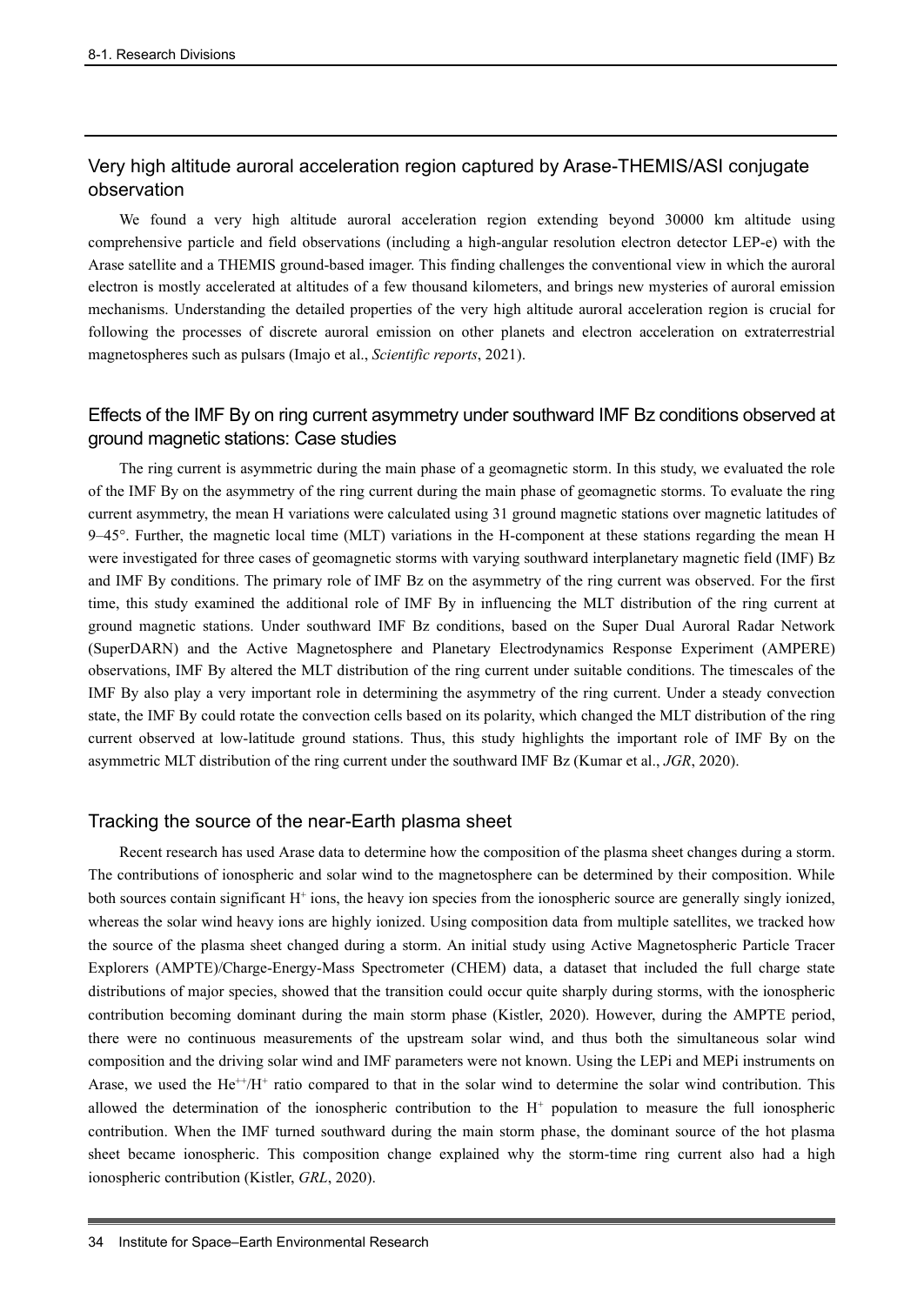# Very high altitude auroral acceleration region captured by Arase-THEMIS/ASI conjugate observation

We found a very high altitude auroral acceleration region extending beyond 30000 km altitude using comprehensive particle and field observations (including a high-angular resolution electron detector LEP-e) with the Arase satellite and a THEMIS ground-based imager. This finding challenges the conventional view in which the auroral electron is mostly accelerated at altitudes of a few thousand kilometers, and brings new mysteries of auroral emission mechanisms. Understanding the detailed properties of the very high altitude auroral acceleration region is crucial for following the processes of discrete auroral emission on other planets and electron acceleration on extraterrestrial magnetospheres such as pulsars (Imajo et al., *Scientific reports*, 2021).

# Effects of the IMF By on ring current asymmetry under southward IMF Bz conditions observed at ground magnetic stations: Case studies

The ring current is asymmetric during the main phase of a geomagnetic storm. In this study, we evaluated the role of the IMF By on the asymmetry of the ring current during the main phase of geomagnetic storms. To evaluate the ring current asymmetry, the mean H variations were calculated using 31 ground magnetic stations over magnetic latitudes of 9–45°. Further, the magnetic local time (MLT) variations in the H-component at these stations regarding the mean H were investigated for three cases of geomagnetic storms with varying southward interplanetary magnetic field (IMF) Bz and IMF By conditions. The primary role of IMF Bz on the asymmetry of the ring current was observed. For the first time, this study examined the additional role of IMF By in influencing the MLT distribution of the ring current at ground magnetic stations. Under southward IMF Bz conditions, based on the Super Dual Auroral Radar Network (SuperDARN) and the Active Magnetosphere and Planetary Electrodynamics Response Experiment (AMPERE) observations, IMF By altered the MLT distribution of the ring current under suitable conditions. The timescales of the IMF By also play a very important role in determining the asymmetry of the ring current. Under a steady convection state, the IMF By could rotate the convection cells based on its polarity, which changed the MLT distribution of the ring current observed at low-latitude ground stations. Thus, this study highlights the important role of IMF By on the asymmetric MLT distribution of the ring current under the southward IMF Bz (Kumar et al., *JGR*, 2020).

## Tracking the source of the near-Earth plasma sheet

Recent research has used Arase data to determine how the composition of the plasma sheet changes during a storm. The contributions of ionospheric and solar wind to the magnetosphere can be determined by their composition. While both sources contain significant  $H^+$  ions, the heavy ion species from the ionospheric source are generally singly ionized, whereas the solar wind heavy ions are highly ionized. Using composition data from multiple satellites, we tracked how the source of the plasma sheet changed during a storm. An initial study using Active Magnetospheric Particle Tracer Explorers (AMPTE)/Charge-Energy-Mass Spectrometer (CHEM) data, a dataset that included the full charge state distributions of major species, showed that the transition could occur quite sharply during storms, with the ionospheric contribution becoming dominant during the main storm phase (Kistler, 2020). However, during the AMPTE period, there were no continuous measurements of the upstream solar wind, and thus both the simultaneous solar wind composition and the driving solar wind and IMF parameters were not known. Using the LEPi and MEPi instruments on Arase, we used the  $He^{++}/H^+$  ratio compared to that in the solar wind to determine the solar wind contribution. This allowed the determination of the ionospheric contribution to the  $H<sup>+</sup>$  population to measure the full ionospheric contribution. When the IMF turned southward during the main storm phase, the dominant source of the hot plasma sheet became ionospheric. This composition change explained why the storm-time ring current also had a high ionospheric contribution (Kistler, *GRL*, 2020).